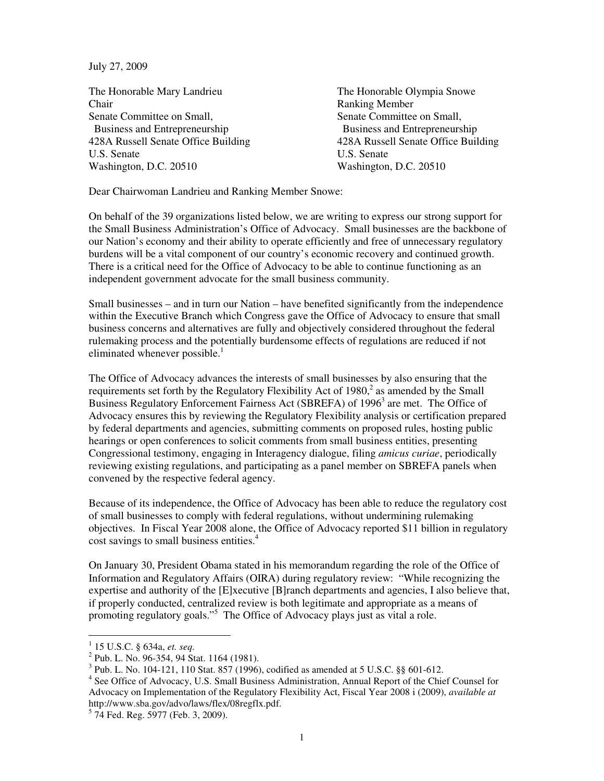July 27, 2009

The Honorable Mary Landrieu The Honorable Olympia Snowe Chair Ranking Member Senate Committee on Small, Senate Committee on Small, Business and Entrepreneurship Business and Entrepreneurship 428A Russell Senate Office Building 428A Russell Senate Office Building U.S. Senate U.S. Senate Washington, D.C. 20510 Washington, D.C. 20510

Dear Chairwoman Landrieu and Ranking Member Snowe:

On behalf of the 39 organizations listed below, we are writing to express our strong support for the Small Business Administration's Office of Advocacy. Small businesses are the backbone of our Nation's economy and their ability to operate efficiently and free of unnecessary regulatory burdens will be a vital component of our country's economic recovery and continued growth. There is a critical need for the Office of Advocacy to be able to continue functioning as an independent government advocate for the small business community.

Small businesses – and in turn our Nation – have benefited significantly from the independence within the Executive Branch which Congress gave the Office of Advocacy to ensure that small business concerns and alternatives are fully and objectively considered throughout the federal rulemaking process and the potentially burdensome effects of regulations are reduced if not eliminated whenever possible.<sup>1</sup>

The Office of Advocacy advances the interests of small businesses by also ensuring that the requirements set forth by the Regulatory Flexibility Act of  $1980<sup>2</sup>$  as amended by the Small Business Regulatory Enforcement Fairness Act (SBREFA) of 1996<sup>3</sup> are met. The Office of Advocacy ensures this by reviewing the Regulatory Flexibility analysis or certification prepared by federal departments and agencies, submitting comments on proposed rules, hosting public hearings or open conferences to solicit comments from small business entities, presenting Congressional testimony, engaging in Interagency dialogue, filing *amicus curiae*, periodically reviewing existing regulations, and participating as a panel member on SBREFA panels when convened by the respective federal agency.

Because of its independence, the Office of Advocacy has been able to reduce the regulatory cost of small businesses to comply with federal regulations, without undermining rulemaking objectives. In Fiscal Year 2008 alone, the Office of Advocacy reported \$11 billion in regulatory cost savings to small business entities.<sup>4</sup>

On January 30, President Obama stated in his memorandum regarding the role of the Office of Information and Regulatory Affairs (OIRA) during regulatory review: "While recognizing the expertise and authority of the [E]xecutive [B]ranch departments and agencies, I also believe that, if properly conducted, centralized review is both legitimate and appropriate as a means of promoting regulatory goals."<sup>5</sup> The Office of Advocacy plays just as vital a role.

 1 15 U.S.C. § 634a, *et. seq.*

<sup>&</sup>lt;sup>2</sup> Pub. L. No. 96-354, 94 Stat. 1164 (1981).

<sup>&</sup>lt;sup>3</sup> Pub. L. No. 104-121, 110 Stat. 857 (1996), codified as amended at 5 U.S.C. §§ 601-612.

<sup>&</sup>lt;sup>4</sup> See Office of Advocacy, U.S. Small Business Administration, Annual Report of the Chief Counsel for Advocacy on Implementation of the Regulatory Flexibility Act, Fiscal Year 2008 i (2009), *available at*  http://www.sba.gov/advo/laws/flex/08regflx.pdf.

<sup>5</sup> 74 Fed. Reg. 5977 (Feb. 3, 2009).